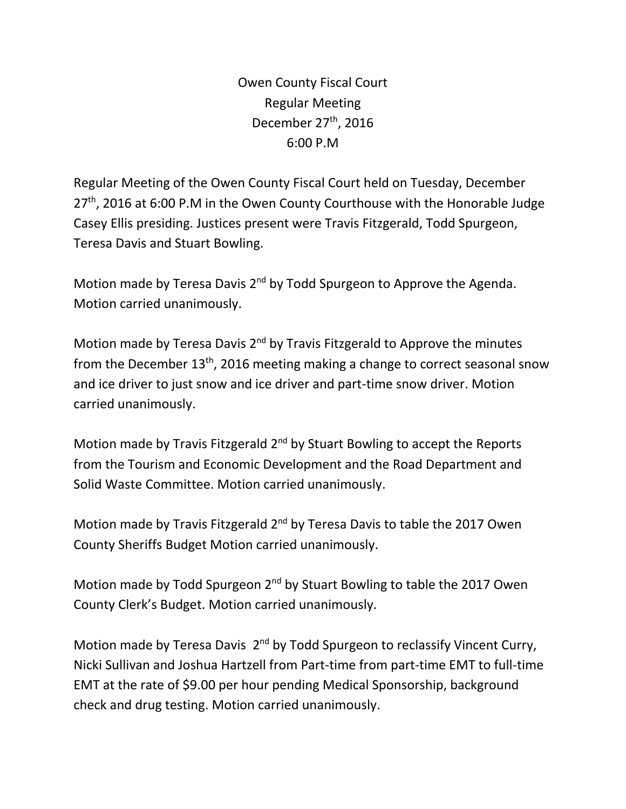Owen County Fiscal Court Regular Meeting December 27<sup>th</sup>, 2016 6:00 P.M

Regular Meeting of the Owen County Fiscal Court held on Tuesday, December 27<sup>th</sup>, 2016 at 6:00 P.M in the Owen County Courthouse with the Honorable Judge Casey Ellis presiding. Justices present were Travis Fitzgerald, Todd Spurgeon, Teresa Davis and Stuart Bowling.

Motion made by Teresa Davis 2<sup>nd</sup> by Todd Spurgeon to Approve the Agenda. Motion carried unanimously.

Motion made by Teresa Davis  $2<sup>nd</sup>$  by Travis Fitzgerald to Approve the minutes from the December  $13<sup>th</sup>$ , 2016 meeting making a change to correct seasonal snow and ice driver to just snow and ice driver and part-time snow driver. Motion carried unanimously.

Motion made by Travis Fitzgerald 2<sup>nd</sup> by Stuart Bowling to accept the Reports from the Tourism and Economic Development and the Road Department and Solid Waste Committee. Motion carried unanimously.

Motion made by Travis Fitzgerald 2<sup>nd</sup> by Teresa Davis to table the 2017 Owen County Sheriffs Budget Motion carried unanimously.

Motion made by Todd Spurgeon 2<sup>nd</sup> by Stuart Bowling to table the 2017 Owen County Clerk's Budget. Motion carried unanimously.

Motion made by Teresa Davis 2<sup>nd</sup> by Todd Spurgeon to reclassify Vincent Curry, Nicki Sullivan and Joshua Hartzell from Part-time from part-time EMT to full-time EMT at the rate of \$9.00 per hour pending Medical Sponsorship, background check and drug testing. Motion carried unanimously.